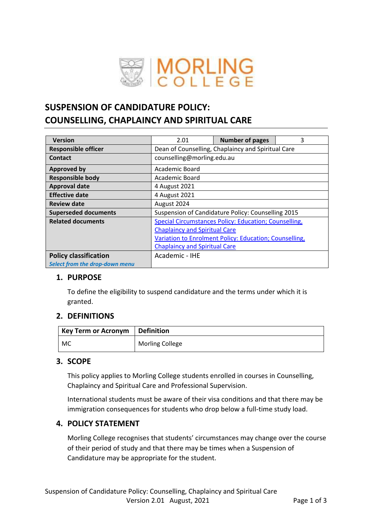

# **SUSPENSION OF CANDIDATURE POLICY: COUNSELLING, CHAPLAINCY AND SPIRITUAL CARE**

| <b>Version</b>                 | 2.01                                                   | <b>Number of pages</b> | 3 |  |  |
|--------------------------------|--------------------------------------------------------|------------------------|---|--|--|
| <b>Responsible officer</b>     | Dean of Counselling, Chaplaincy and Spiritual Care     |                        |   |  |  |
| <b>Contact</b>                 | counselling@morling.edu.au                             |                        |   |  |  |
| <b>Approved by</b>             | Academic Board                                         |                        |   |  |  |
| <b>Responsible body</b>        | Academic Board                                         |                        |   |  |  |
| <b>Approval date</b>           | 4 August 2021                                          |                        |   |  |  |
| <b>Effective date</b>          | 4 August 2021                                          |                        |   |  |  |
| <b>Review date</b>             | August 2024                                            |                        |   |  |  |
| <b>Superseded documents</b>    | Suspension of Candidature Policy: Counselling 2015     |                        |   |  |  |
| <b>Related documents</b>       | Special Circumstances Policy: Education; Counselling,  |                        |   |  |  |
|                                | <b>Chaplaincy and Spiritual Care</b>                   |                        |   |  |  |
|                                | Variation to Enrolment Policy: Education; Counselling, |                        |   |  |  |
|                                | <b>Chaplaincy and Spiritual Care</b>                   |                        |   |  |  |
| <b>Policy classification</b>   | Academic - IHE                                         |                        |   |  |  |
| Select from the drop-down menu |                                                        |                        |   |  |  |

## **1. PURPOSE**

To define the eligibility to suspend candidature and the terms under which it is granted.

#### **2. DEFINITIONS**

| Key Term or Acronym   Definition |                        |
|----------------------------------|------------------------|
| MC                               | <b>Morling College</b> |

## **3. SCOPE**

This policy applies to Morling College students enrolled in courses in Counselling, Chaplaincy and Spiritual Care and Professional Supervision.

International students must be aware of their visa conditions and that there may be immigration consequences for students who drop below a full-time study load.

## **4. POLICY STATEMENT**

Morling College recognises that students' circumstances may change over the course of their period of study and that there may be times when a Suspension of Candidature may be appropriate for the student.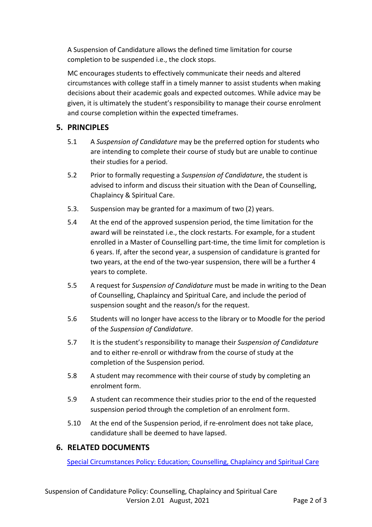A Suspension of Candidature allows the defined time limitation for course completion to be suspended i.e., the clock stops.

MC encourages students to effectively communicate their needs and altered circumstances with college staff in a timely manner to assist students when making decisions about their academic goals and expected outcomes. While advice may be given, it is ultimately the student's responsibility to manage their course enrolment and course completion within the expected timeframes.

## **5. PRINCIPLES**

- 5.1 A *Suspension of Candidature* may be the preferred option for students who are intending to complete their course of study but are unable to continue their studies for a period.
- 5.2 Prior to formally requesting a *Suspension of Candidature*, the student is advised to inform and discuss their situation with the Dean of Counselling, Chaplaincy & Spiritual Care.
- 5.3. Suspension may be granted for a maximum of two (2) years.
- 5.4 At the end of the approved suspension period, the time limitation for the award will be reinstated i.e., the clock restarts. For example, for a student enrolled in a Master of Counselling part-time, the time limit for completion is 6 years. If, after the second year, a suspension of candidature is granted for two years, at the end of the two-year suspension, there will be a further 4 years to complete.
- 5.5 A request for *Suspension of Candidature* must be made in writing to the Dean of Counselling, Chaplaincy and Spiritual Care, and include the period of suspension sought and the reason/s for the request.
- 5.6 Students will no longer have access to the library or to Moodle for the period of the *Suspension of Candidature*.
- 5.7 It is the student's responsibility to manage their *Suspension of Candidature* and to either re-enroll or withdraw from the course of study at the completion of the Suspension period.
- 5.8 A student may recommence with their course of study by completing an enrolment form.
- 5.9 A student can recommence their studies prior to the end of the requested suspension period through the completion of an enrolment form.
- 5.10 At the end of the Suspension period, if re-enrolment does not take place, candidature shall be deemed to have lapsed.

## **6. RELATED DOCUMENTS**

[Special Circumstances Policy: Education; Counselling, Chaplaincy and Spiritual Care](file:///G:/Team%20Drives/Shared%20data/Policies/Student%20Policies/Special%20Circumstances%20Policy_Ed%20CCSC%202018.pdf)